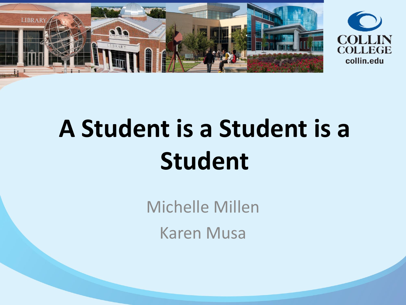



# **A Student is a Student is a Student**

Michelle Millen Karen Musa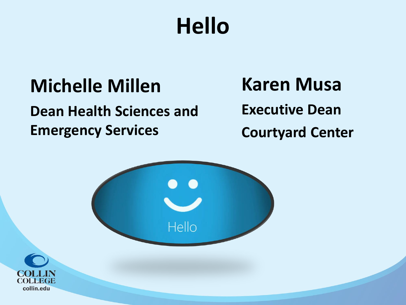## **Hello**

#### **Michelle Millen**

#### **Dean Health Sciences and Emergency Services**

#### **Karen Musa**

**Executive Dean** 

**Courtyard Center**



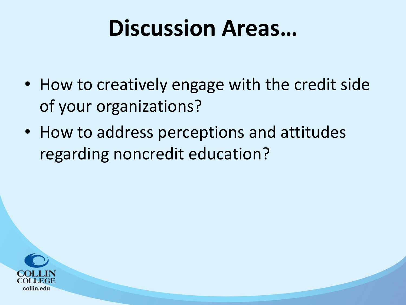### **Discussion Areas…**

- How to creatively engage with the credit side of your organizations?
- How to address perceptions and attitudes regarding noncredit education?

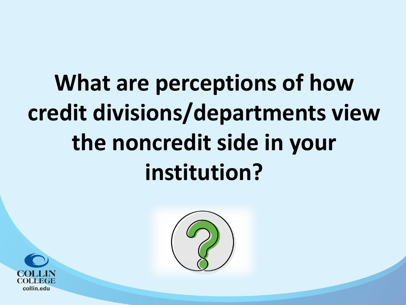# **What are perceptions of how credit divisions/departments view the noncredit side in your institution?**



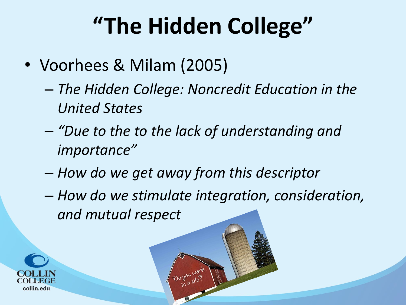## **"The Hidden College"**

- Voorhees & Milam (2005)
	- *The Hidden College: Noncredit Education in the United States*
	- *"Due to the to the lack of understanding and importance"*
	- *How do we get away from this descriptor*
	- *How do we stimulate integration, consideration, and mutual respect*

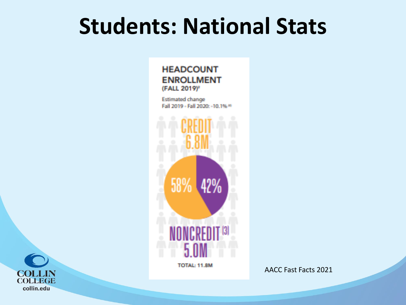### **Students: National Stats**

**HEADCOUNT ENROLLMENT** (FALL 2019)<sup>2</sup>

**Estimated change** Fall 2019 - Fall 2020: - 10.1% 19



**TOTAL: 11.8M** 

AACC Fast Facts 2021

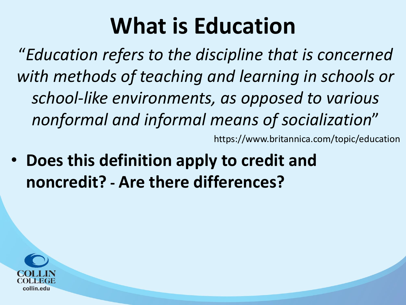## **What is Education**

"*Education refers to the discipline that is concerned with methods of teaching and learning in schools or school-like environments, as opposed to various nonformal and informal means of socialization*" https://www.britannica.com/topic/education

• **Does this definition apply to credit and noncredit? - Are there differences?**

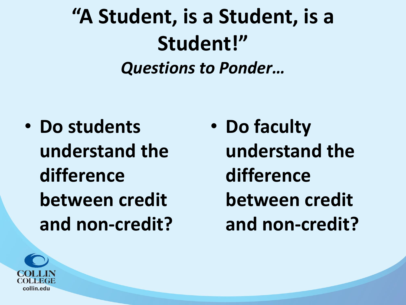### **"A Student, is a Student, is a Student!"** *Questions to Ponder…*

• **Do students understand the difference between credit and non-credit?**  • **Do faculty understand the difference between credit and non-credit?**

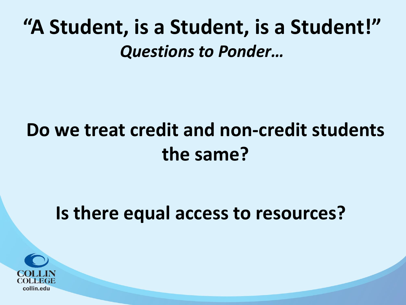#### **"A Student, is a Student, is a Student!"** *Questions to Ponder…*

#### **Do we treat credit and non-credit students the same?**

#### **Is there equal access to resources?**

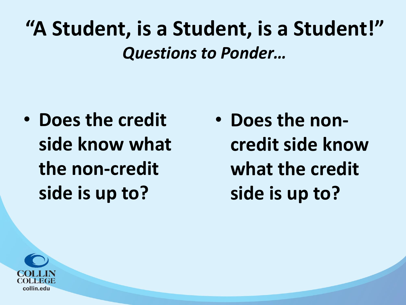#### **"A Student, is a Student, is a Student!"** *Questions to Ponder…*

• **Does the credit side know what the non-credit side is up to?** 

• **Does the noncredit side know what the credit side is up to?** 

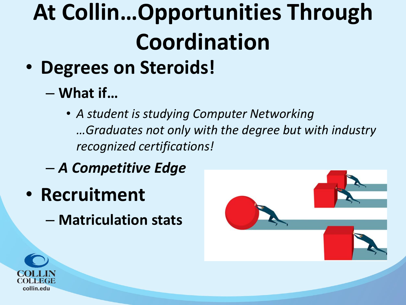# **At Collin…Opportunities Through Coordination**

- **Degrees on Steroids!**
	- **What if…**

• *A student is studying Computer Networking …Graduates not only with the degree but with industry recognized certifications!*

- *A Competitive Edge*
- **Recruitment**
	- **Matriculation stats**



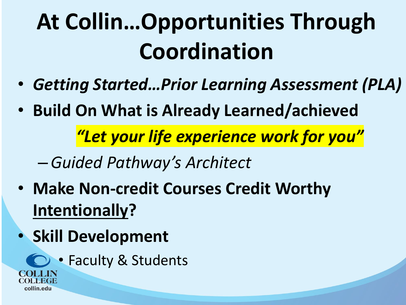# **At Collin…Opportunities Through Coordination**

- *Getting Started…Prior Learning Assessment (PLA)*
- **Build On What is Already Learned/achieved**

*"Let your life experience work for you"*

–*Guided Pathway's Architect*

- **Make Non-credit Courses Credit Worthy Intentionally?**
- **Skill Development** 
	- **C** Faculty & Students

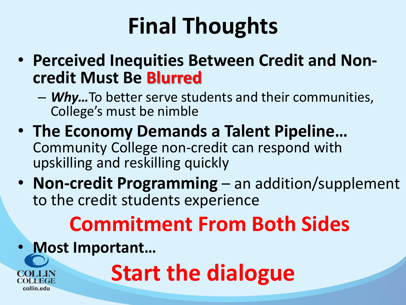# **Final Thoughts**

- **Perceived Inequities Between Credit and Noncredit Must Be Blurred**
	- *Why…*To better serve students and their communities, College's must be nimble
- **The Economy Demands a Talent Pipeline…**  Community College non-credit can respond with upskilling and reskilling quickly
- **Non-credit Programming**  an addition/supplement to the credit students experience

## **Commitment From Both Sides**

• **Most Important…**

collin.edu

**Start the dialogue**